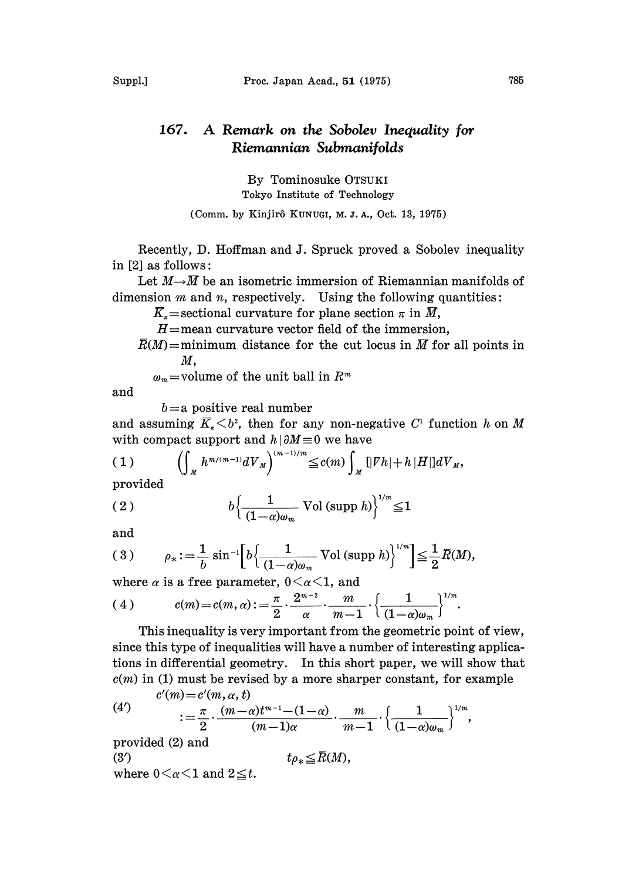## 167. A Remark on the Sobolev Inequality for Riemannian Submanifolds

By Tominosuke OTSUKI Tokyo Institute of Technology

(Comm. by Kinjirô KUNUGI, M.J.A., Oct. 13, 1975)

Recently, D. Hoffman and J. Spruck proved a Sobolev inequality in  $[2]$  as follows:

Let  $M \rightarrow \overline{M}$  be an isometric immersion of Riemannian manifolds of dimension  $m$  and  $n$ , respectively. Using the following quantities:

 $\overline{K}_r$ =sectional curvature for plane section  $\pi$  in  $\overline{M}$ ,

 $H=$ mean curvature vector field of the immersion,

 $\overline{R}(M)$ =minimum distance for the cut locus in M for all points in  $M$ .

 $\omega_m$ =volume of the unit ball in  $R^m$ 

and

 $b=a$  positive real number

and assuming  $\overline{K}_n < b^2$ , then for any non-negative  $C^1$  function h on M with compact support and  $h | \partial M \equiv 0$  we have

$$
(1) \qquad \left(\int_{M} h^{m/(m-1)} dV_{M}\right)^{(m-1)/m} \leq c(m) \int_{M} [|\nabla h| + h |H|] dV_{M},
$$

provided

(2) 
$$
b\left\{\frac{1}{(1-\alpha)\omega_m} \operatorname{Vol} \left(\operatorname{supp} h\right)\right\}^{1/m} \leq 1
$$

and

(3) 
$$
\rho_* := \frac{1}{b} \sin^{-1} \left[ b \left\{ \frac{1}{(1 - \alpha)\omega_m} \text{Vol} (\text{supp } h) \right\}^{1/m} \right] \leq \frac{1}{2} \bar{R}(M),
$$

where  $\alpha$  is a free parameter,  $0 \leq \alpha \leq 1$ , and

(4) 
$$
c(m) = c(m, \alpha) := \frac{\pi}{2} \cdot \frac{2^{m-2}}{\alpha} \cdot \frac{m}{m-1} \cdot \left\{ \frac{1}{(1-\alpha)\omega_m} \right\}^{1/n}
$$

This inequality is very important from the geometric point of view, since this type of inequalities will have a number of interesting applications in differential geometry. In this short paper, we will show that  $c(m)$  in (1) must be revised by a more sharper constant, for example  $c'(m) = c'(m, \alpha, t)$ 

 $\bigwedge$  1/m

(4')  

$$
:= \frac{\pi}{2} \cdot \frac{(m-\alpha)t^{m-1} - (1-\alpha)}{(m-1)\alpha} \cdot \frac{m}{m-1} \cdot \left\{ \frac{1}{(1-\alpha)\omega_m} \right\}^{1/m},
$$

provided (2) and

(3') 
$$
t_{\rho_*} \leq R(M),
$$
 where  $0 < \alpha < 1$  and  $2 \leq t$ .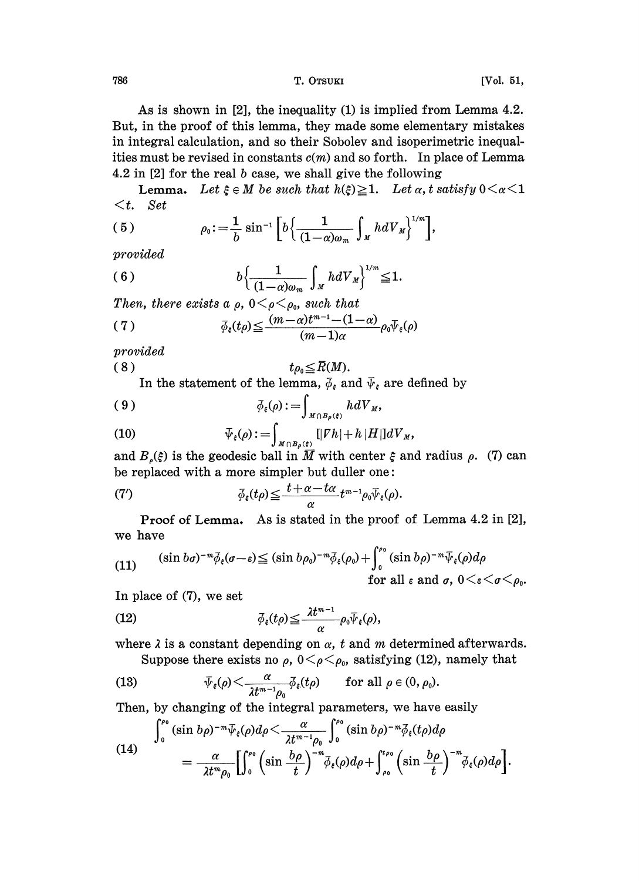786 T. OTSUKI [Vol. 51,

As is shown in [2], the inequality (1) is implied from Lemma 4.2. But, in the proof of this lemma, they made some elementary mistakes in integral calculation, and so their Sobolev and isoperimetric inequalities must be revised in constants  $c(m)$  and so forth. In place of Lemma 4.2 in  $[2]$  for the real b case, we shall give the following

**Lemma.** Let  $\xi \in M$  be such that  $h(\xi) \geq 1$ . Let  $\alpha$ , t satisfy  $0 \leq \alpha \leq 1$  $\lt t$ . Set

(5) 
$$
\rho_0 := \frac{1}{b} \sin^{-1} \left[ b \left\{ \frac{1}{(1-\alpha)\omega_m} \int_M h dV_M \right\}^{1/m} \right],
$$

provided

(6) 
$$
b\left\{\frac{1}{(1-\alpha)\omega_m}\int_M hdV_M\right\}^{1/m} \leq 1.
$$

Then, there exists a  $\rho$ ,  $0 \leq \rho \leq \rho_0$ , such that

(7) 
$$
\bar{\phi}_{\epsilon}(t\rho) \leq \frac{(m-\alpha)t^{m-1}-(1-\alpha)}{(m-1)\alpha}\rho_0 \bar{\psi}_{\epsilon}(\rho)
$$

provided

$$
(8) \t t_{\rho_0} \leq \bar{R}(M).
$$

In the statement of the lemma,  $\overline{\phi}_{\varepsilon}$  and  $\overline{\psi}_{\varepsilon}$  are defined by

$$
\overline{\phi}_{\epsilon}(\rho):=\int_{M\cap B_{\rho}(\xi)}h dV_M,
$$

(10) 
$$
\overline{\psi}_{\varepsilon}(\rho) := \int_{M \cap B_{\rho}(\varepsilon)} [|\nabla h| + h |H|] dV_M,
$$

and  $B_{\rho}(\xi)$  is the geodesic ball in  $\overline{M}$  with center  $\xi$  and radius  $\rho$ . (7) can be replaced with a more simpler but duller one:

(7') 
$$
\bar{\phi}_{\epsilon}(t_{\rho}) \leq \frac{t + \alpha - t_{\alpha}}{\alpha} t^{m-1} \rho_{0} \bar{\psi}_{\epsilon}(\rho).
$$

Proof of Lemma. As is stated in the proof of Lemma 4.2 in [2], we have

(11) 
$$
(\sin b\sigma)^{-m}\bar{\phi}_{\epsilon}(\sigma-\epsilon) \leq (\sin b\rho_{0})^{-m}\bar{\phi}_{\epsilon}(\rho_{0}) + \int_{0}^{\rho_{0}} (\sin b\rho)^{-m}\bar{\psi}_{\epsilon}(\rho)d\rho
$$
  
for all  $\epsilon$  and  $\sigma$ ,  $0 < \epsilon < \sigma < \rho_{0}$ .

In place of (7), we set

(12) 
$$
\bar{\phi}_{\epsilon}(t\rho) \leq \frac{\lambda t^{m-1}}{\alpha} \rho_0 \bar{\psi}_{\epsilon}(\rho),
$$

where  $\lambda$  is a constant depending on  $\alpha$ , t and m determined afterwards.

Suppose there exists no  $\rho$ ,  $0 \lt \rho \lt \rho_0$ , satisfying (12), namely that

(13) 
$$
\overline{\psi}_{\xi}(\rho) \leq \frac{\alpha}{\lambda t^{m-1} \rho_0} \overline{\phi}_{\xi}(t\rho) \quad \text{for all } \rho \in (0, \rho_0).
$$

Then, by changing of the integral parameters, we have easily

(14)  

$$
\int_0^{\rho_0} (\sin b\rho)^{-m} \overline{\psi}_{\xi}(\rho) d\rho \leq \frac{\alpha}{\lambda t^{m-1} \rho_0} \int_0^{\rho_0} (\sin b\rho)^{-m} \overline{\phi}_{\xi}(t\rho) d\rho
$$

$$
= \frac{\alpha}{\lambda t^m \rho_0} \left[ \int_0^{\rho_0} (\sin \frac{b\rho}{t})^{-m} \overline{\phi}_{\xi}(\rho) d\rho + \int_{\rho_0}^{t\rho_0} (\sin \frac{b\rho}{t})^{-m} \overline{\phi}_{\xi}(\rho) d\rho \right].
$$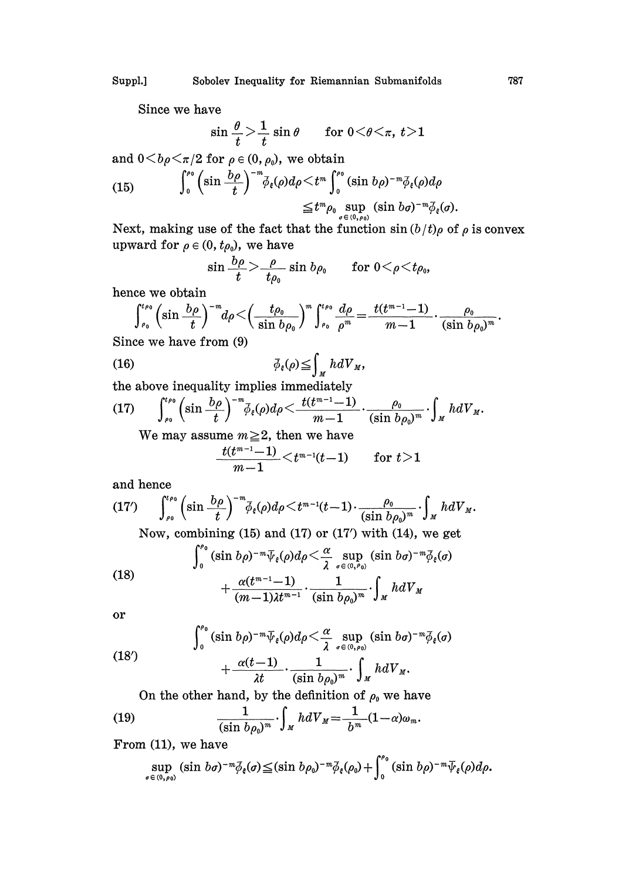Since we have

$$
\sin\frac{\theta}{t} > \frac{1}{t} \sin\theta \quad \text{for } 0 < \theta < \pi, \ t > 1
$$

and  $0 \lt b\rho \lt \pi/2$  for  $\rho \in (0, \rho_0)$ , we obtain

(15) 
$$
\int_0^{p_0} \left(\sin \frac{b\rho}{t}\right)^{-m} \bar{\phi}_{\epsilon}(\rho) d\rho \leq t^m \int_0^{p_0} (\sin b\rho)^{-m} \bar{\phi}_{\epsilon}(\rho) d\rho
$$
  

$$
\leq t^m \rho_0 \sup_{\sigma \in (0, \rho_0)} (\sin b\sigma)^{-m} \bar{\phi}_{\epsilon}(\sigma).
$$

Next, making use of the fact that the function  $\sin (b/t) \rho$  of  $\rho$  is convex upward for  $\rho \in (0, t\rho_0)$ , we have<br>  $\sin \frac{b\rho}{t} > \frac{\rho}{t_0} \sin b\rho_0$  for  $0 < \rho < t\rho_0$ ,

$$
\sin \frac{b\rho}{t} > \frac{\rho}{t\rho_0} \sin b\rho_0 \qquad \text{for } 0 < \rho < t\rho_0,
$$

hence we obtain

$$
\int_{\rho_0}^{t_{\rho_0}} \left(\sin \frac{b\rho}{t}\right)^{-m} d\rho \leq \left(\frac{t\rho_0}{\sin b\rho_0}\right)^m \int_{\rho_0}^{t\rho_0} \frac{d\rho}{\rho^m} = \frac{t(t^{m-1}-1)}{m-1} \cdot \frac{\rho_0}{(\sin b\rho_0)^m}
$$

Since we have from (9)

(16) 
$$
\overline{\phi}_{\epsilon}(\rho) \leq \int_{M} h dV_{M},
$$

the above inequality implies immediately

(17) 
$$
\int_{\rho_0}^{\rho_0} \left(\sin \frac{b\rho}{t}\right)^{-m} \bar{\phi}_{\varepsilon}(\rho) d\rho \leq \frac{t(t^{m-1}-1)}{m-1} \cdot \frac{\rho_0}{(\sin b\rho_0)^m} \cdot \int_M h dV_M.
$$

We may assume  $m\geq 2$ , then we have

$$
\frac{t(t^{m-1}-1)}{m-1}\!<\!t^{m-1}(t\!-\!1)\qquad\text{for }t\!\ge\!1
$$

and hence

$$
(17') \int_{\rho_0}^{t\rho_0} \left(\sin \frac{b\rho}{t}\right)^{-m} \bar{\phi}_{\varepsilon}(\rho) d\rho \leq t^{m-1} (t-1) \cdot \frac{\rho_0}{(\sin b\rho_0)^m} \cdot \int_M h dV_M.
$$

Now, combining  $(15)$  and  $(17)$  or  $(17')$  with  $(14)$ , we get

(18)  
\n
$$
\int_0^{r_0} (\sin b\rho)^{-m} \overline{\psi}_{\xi}(\rho) d\rho \leq \frac{\alpha}{\lambda} \sup_{\sigma \in (0, r_0)} (\sin b\sigma)^{-m} \overline{\phi}_{\xi}(\sigma)
$$
\n
$$
+ \frac{\alpha(t^{m-1}-1)}{(m-1)\lambda t^{m-1}} \cdot \frac{1}{(\sin b\rho_0)^m} \cdot \int_M h dV_M
$$
\nor

or

(18')
$$
\int_0^{\rho_0} (\sin b \rho)^{-m} \overline{\psi}_{\xi}(\rho) d\rho \leq \frac{\alpha}{\lambda} \sup_{\sigma \in (0, \rho_0)} (\sin b \sigma)^{-m} \overline{\phi}_{\xi}(\sigma) + \frac{\alpha (t-1)}{\lambda t} \cdot \frac{1}{(\sin b \rho_0)^m} \cdot \int_M h dV_M.
$$

On the other hand, by the definition of  $\rho_0$  we have

(19) 
$$
\frac{1}{(\sin b \rho_0)^m} \cdot \int_M h dV_M = \frac{1}{b^m} (1 - \alpha) \omega_m.
$$

From (11), we have

$$
\sup_{\sigma\in(0,\rho_0)} (\sin b\sigma)^{-m} \bar{\phi}_{\varepsilon}(\sigma) \leq (\sin b\rho_0)^{-m} \bar{\phi}_{\varepsilon}(\rho_0) + \int_0^{\rho_0} (\sin b\rho)^{-m} \bar{\psi}_{\varepsilon}(\rho) d\rho.
$$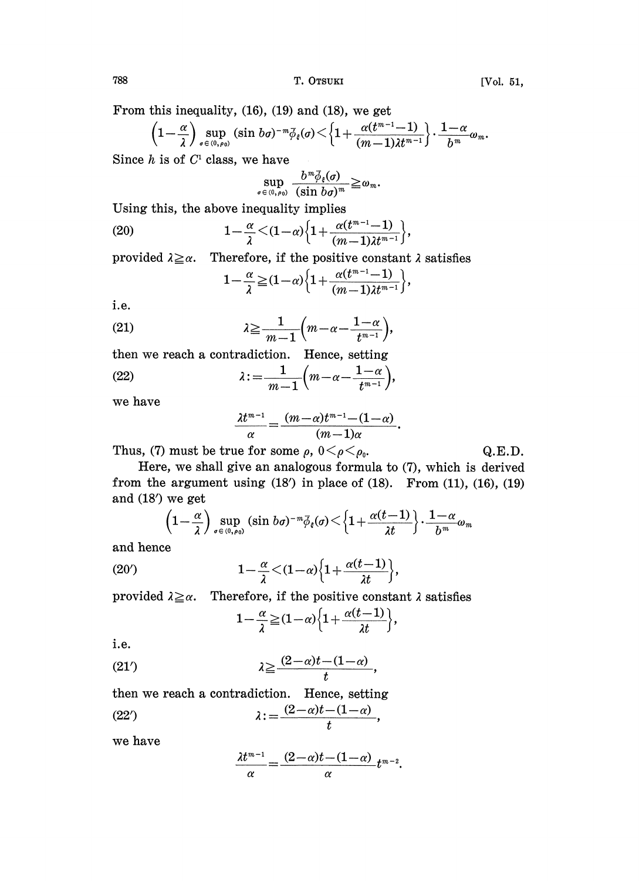788 T. OTSUKI [Vol. 51,

From this inequality, (16), (19) and (18), we get

$$
\left(1-\frac{\alpha}{\lambda}\right)\sup_{\sigma\in(0,\rho_0)}(\sin b\sigma)^{-m}\bar{\phi}_{\epsilon}(\sigma)\!<\!\left\{1+\frac{\alpha(t^{m-1}-1)}{(m-1)\lambda t^{m-1}}\right\}\cdot\frac{1-\alpha}{b^m}\omega_m.
$$
  
*h* is of *C*<sup>1</sup> class, we have

Since  $h$  is of  $C<sup>1</sup>$  class, we have

$$
\sup_{\sigma\in(0,\rho_0)}\frac{b^m\bar{\phi}_{\xi}(\sigma)}{(\sin b\sigma)^m} \geq \omega_m.
$$

Using this, the above inequality implies

(20) 
$$
1 - \frac{\alpha}{\lambda} < (1 - \alpha) \left\{ 1 + \frac{\alpha(t^{m-1} - 1)}{(m-1)\lambda t^{m-1}} \right\},
$$

provided  $\lambda \geq \alpha$ . Therefore, if the positive constant  $\lambda$  satisfies<br>  $\alpha \leq (1-\lambda) \left[1 + \frac{\alpha(t^{m-1}-1)}{1-\lambda}\right]$ 

$$
1-\frac{\alpha}{\lambda}\geq (1-\alpha)\Big\{1+\frac{\alpha(t^{m-1}-1)}{(m-1)\lambda t^{m-1}}\Big\},\,
$$

i.e.

(21) 
$$
\lambda \geq \frac{1}{m-1} \left( m - \alpha - \frac{1-\alpha}{t^{m-1}} \right),
$$

then we reach a contradiction. Hence, setting  $\lambda := \frac{1}{m-1} \left( m - \alpha - \frac{1-\alpha}{t^{m-1}} \right),$  $(22)$ 

we have

$$
\frac{\lambda t^{m-1}}{\alpha} = \frac{(m-\alpha)t^{m-1}-(1-\alpha)}{(m-1)\alpha}.
$$

Thus, (7) must be true for some  $\rho$ ,  $0 \leq \rho \leq \rho_0$ . Q.E.D.

Here, we shall give an analogous formula to (7), which is derived from the argument using  $(18')$  in place of  $(18)$ . From  $(11)$ ,  $(16)$ ,  $(19)$ and (18') we get

$$
\left(1-\frac{\alpha}{\lambda}\right)\sup_{\sigma\in(0,\rho_0)}(\sin b\sigma)^{-m}\bar{\phi}_{\xi}(\sigma)\!<\!\left\{1+\frac{\alpha(t\!-\!1)}{\lambda t}\right\}\!\cdot\!\frac{1-\alpha}{b^m}\omega_m
$$

and hence

and hence  
(20') 
$$
1-\frac{\alpha}{\lambda} < (1-\alpha)\left\{1+\frac{\alpha(t-1)}{\lambda t}\right\},
$$

provided  $\lambda \geq \alpha$ . Therefore, if the positive constant  $\lambda$  satisfies

$$
1-\frac{\alpha}{\lambda} \geq (1-\alpha)\left\{1+\frac{\alpha(t-1)}{\lambda t}\right\},\,
$$

i.e.

(219 \_> -- (2 a)t (1-- a) t

then we reach a contradiction. Hence, setting

$$
(22') \qquad \lambda := \frac{(2-\alpha)t - (1-\alpha)}{t},
$$

we have

$$
\frac{\lambda t^{m-1}}{\alpha} = \frac{(2-\alpha)t - (1-\alpha)}{\alpha} t^{m-2}.
$$